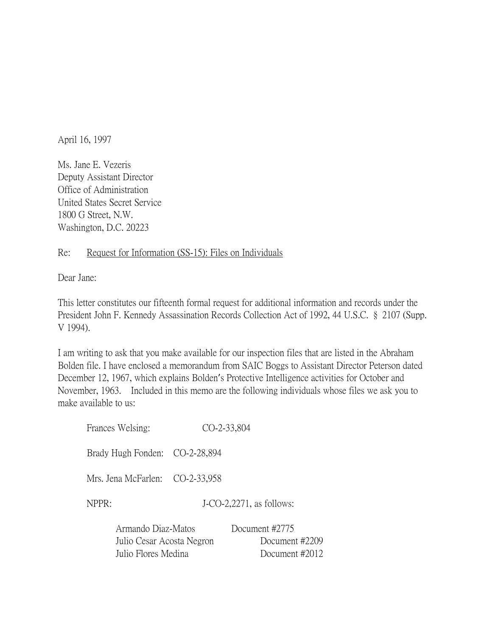April 16, 1997

Ms. Jane E. Vezeris Deputy Assistant Director Office of Administration United States Secret Service 1800 G Street, N.W. Washington, D.C. 20223

## Re: Request for Information (SS-15): Files on Individuals

Dear Jane:

This letter constitutes our fifteenth formal request for additional information and records under the President John F. Kennedy Assassination Records Collection Act of 1992, 44 U.S.C. § 2107 (Supp. V 1994).

I am writing to ask that you make available for our inspection files that are listed in the Abraham Bolden file. I have enclosed a memorandum from SAIC Boggs to Assistant Director Peterson dated December 12, 1967, which explains Bolden's Protective Intelligence activities for October and November, 1963. Included in this memo are the following individuals whose files we ask you to make available to us:

| Frances Welsing:                |  | CO-2-33,804                 |
|---------------------------------|--|-----------------------------|
| Brady Hugh Fonden: CO-2-28,894  |  |                             |
| Mrs. Jena McFarlen: CO-2-33,958 |  |                             |
| NPPR:                           |  | $J$ -CO-2,2271, as follows: |
| Armando Diaz-Matos              |  | Document #2775              |
| Julio Cesar Acosta Negron       |  | Document #2209              |
| Julio Flores Medina             |  | Document #2012              |